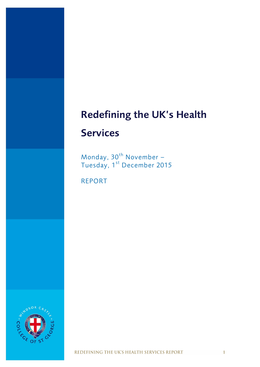# **Redefining the UK's Health**

# **Services**

Monday, 30<sup>th</sup> November – Tuesday, 1<sup>st</sup> December 2015

REPORT



REDEFINING THE UK'S HEALTH SERVICES REPORT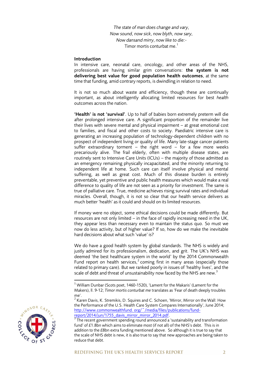*The state of man does change and vary, Now sound, now sick, now blyth, now sary, Now dansand mirry, now like to die:-* Timor mortis conturbat me.<sup>1</sup>

#### **Introduction**

In intensive care, neonatal care, oncology, and other areas of the NHS, professionals are having similar grim conversations: **the system is not delivering best value for good population health outcomes**, at the same time that funding, amid contrary reports, is dwindling in relation to need.

It is not so much about waste and efficiency, though these are continually important, as about intelligently allocating limited resources for best *health* outcomes across the nation.

**'Health' is not 'survival'**. Up to half of babies born extremely preterm will die after prolonged intensive care. A significant proportion of the remainder live their lives with severe mental and physical impairment – at great emotional cost to families, and fiscal and other costs to society. Paediatric intensive care is generating an increasing population of technology-dependent children with no prospect of independent living or quality of life. Many late-stage cancer patients suffer extraordinary torment  $-$  the right word  $-$  for a few more weeks precariously alive. The frail elderly, often with multiple disease states, are routinely sent to Intensive Care Units (ICUs) – the majority of those admitted as an emergency remaining physically incapacitated, and the minority returning to independent life at home. Such care can itself involve physical and mental suffering, as well as great cost. Much of this disease burden is entirely preventable, yet preventive and public health measures which would make a real difference to quality of life are not seen as a priority for investment. The same is true of palliative care. True, medicine achieves rising survival rates and individual miracles. Overall, though, it is not so clear that our health service delivers as much better 'health' as it could and should on its limited resources.

If money were no object, some ethical decisions could be made differently. But resources are not only limited – in the face of rapidly increasing need in the UK, they appear less than necessary even to maintain the status quo. So must we now do less activity, but of higher value? If so, how do we make the inevitable hard decisions about what such 'value' is?

We do have a good health system by global standards. The NHS is widely and justly admired for its professionalism, dedication, and grit. The UK's NHS was deemed 'the best healthcare system in the world' by the 2014 Commonwealth Fund report on health services,<sup>2</sup> coming first in many areas (especially those related to primary care). But we ranked poorly in issues of 'healthy lives', and the scale of debt and threat of unsustainability now faced by the NHS are new.<sup>3</sup>

 $^3$  The recent government spending round announced a 'sustainability and transformation fund' of £1.8bn which aims to eliminate most (if not all) of the NHS's debt. This is in addition to the £8bn extra funding mentioned above. So although it is true to say that the scale of NHS debt is new, it is also true to say that new approaches are being taken to reduce that debt.



 $\overline{\phantom{a}}$ 

 $1$  William Dunbar (Scots poet, 1460-1520), 'Lament for the Makaris' (Lament for the Makers), ll. 9-12; *Timor mortis conturbat me* translates as 'Fear of death deeply troubles me'.

 $^2$  Karen Davis, K. Stremikis, D. Squires and C. Schoen, 'Mirror, Mirror on the Wall: How the Performance of the U.S. Health Care System Compares Internationally', June 2014; http://www.commonwealthfund. org/~/media/files/publications/fundreport/2014/jun/1755\_davis\_mirror\_mirror\_2014.pdf.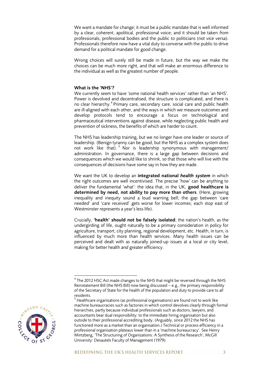We want a mandate for change; it must be a public mandate that is well informed by a clear, coherent, apolitical, professional voice; and it should be taken *from* professionals, professional bodies and the public *to* politicians (not *vice versa*). Professionals therefore now have a vital duty to converse with the public to drive demand for a political mandate for good change.

Wrong choices will surely still be made in future, but the way we make the choices can be much more right, and that will make an enormous difference to the individual as well as the greatest number of people.

#### **What is the 'NHS'?**

We currently seem to have 'some national health services' rather than 'an NHS'. Power is devolved and decentralised, the structure is complicated, and there is no clear hierarchy.<sup>4</sup> Primary care, secondary care, social care and public health are ill-aligned with each other, and the ways in which we measure outcomes and develop protocols tend to encourage a focus on technological and pharmaceutical interventions against disease, while neglecting public health and prevention of sickness, the benefits of which are harder to count.

The NHS has leadership training, but we no longer have one leader or source of leadership. (Benign tyranny can be good, but the NHS as a complex system does not work like that).<sup>5</sup> Nor is leadership synonymous with management/ administration. In governance, there is a large gap between decisions and consequences which we would like to shrink, so that those who will live with the consequences of decisions have some say in how they are made.

We want the UK to develop an **integrated national** *health system* in which the right outcomes are well incentivised. The precise 'how' can be anything to deliver the fundamental 'what': the idea that, in the UK, **good healthcare is determined by need, not ability to pay more than others**. (Here, growing inequality and inequity sound a loud warning bell; the gap between 'care needed' and 'care received' gets worse for lower incomes; each stop east of Westminster represents a year's less life).

Crucially, **'health' should not be falsely isolated**; the nation's health, as the undergirding of life, ought naturally to be a primary consideration in policy for agriculture, transport, city planning, regional development, etc. Health, in turn, is influenced by much more than health services. Many health issues can be perceived and dealt with as naturally joined-up issues at a local or city level, making for better health *and* greater efficiency.

 $^5$  Healthcare organisations (as professional organisations) are found not to work like machine bureaucracies such as factories in which control devolves clearly through formal hierarchies, partly because individual professionals such as doctors, lawyers, and accountants bear dual responsibility: to the immediate hiring organisation but also outside to their professional accrediting body. (Arguably, since 2012 the NHS has functioned more as a market than an organisation.) Technical or process efficiency in a professional organisation plateaus lower than in a 'machine bureaucracy'. See Henry Mintzberg, 'The Structuring of Organizations: A Synthesis of the Research', McGill University: Desautels Faculty of Management (1979).



 $^4$  The 2012 HSC Act made changes to the NHS that might be reversed through the NHS Reinstatement Bill (the NHS Bill) now being discussed – e.g., the primary responsibility of the Secretary of State for the health of the population and duty to provide care to *all* residents.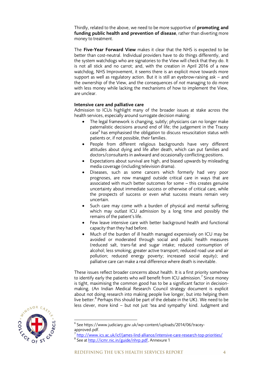Thirdly, related to the above, we need to be more supportive of **promoting and funding public health and prevention of disease**, rather than diverting more money to treatment.

The **Five-Year Forward View** makes it clear that the NHS is expected to be better than cost-neutral. Individual providers have to do things differently, and the system watchdogs who are signatories to the View will check that they do. It is not all stick and no carrot; and, with the creation in April 2016 of a new watchdog, NHS Improvement, it seems there is an explicit move towards more support as well as regulatory action. But it is still an eyebrow-raising ask – and the ownership of the View, and the consequences of *not* managing to do more with less money while lacking the mechanisms of how to implement the View, are unclear.

#### **Intensive care and palliative care**

Admission to ICUs highlight many of the broader issues at stake across the health services, especially around surrogate decision making:

- The legal framework is changing, subtly; physicians can no longer make paternalistic decisions around end of life; the judgement in the Tracey case<sup>6</sup> has emphasised the obligation to discuss resuscitation status with patients or, if not possible, their families.
- People from different religious backgrounds have very different attitudes about dying and life after death, which can put families and doctors/consultants in awkward and occasionally conflicting positions.
- Expectations about survival are high, and biased upwards by misleading media coverage (including television drama).
- Diseases, such as some cancers which formerly had very poor prognoses, are now managed outside critical care in ways that are associated with much better outcomes for some – this creates genuine uncertainty about immediate success or otherwise of critical care, while the prospects of success or even what success means remain very uncertain.
- Such care may come with a burden of physical and mental suffering which may outlast ICU admission by a long time and possibly the remains of the patient's life.
- Few leave intensive care with better background health and functional capacity than they had before.
- Much of the burden of ill health managed expensively on ICU may be avoided or moderated through social and public health measures (reduced salt, trans-fat and sugar intake; reduced consumption of alcohol; less smoking; greater active transport; reduced road use and air pollution; reduced energy poverty; increased social equity); and palliative care can make a real difference where death is inevitable.

These issues reflect broader concerns about health. It is a first priority somehow to identify early the patients who *will* benefit from ICU admission.<sup>7</sup> Since money is tight, maximising the common good has to be a significant factor in decisionmaking. (An Indian Medical Research Council strategy document is explicit about not doing research into making people live longer, but into helping them live better.<sup>8</sup> Perhaps this should be part of the debate in the UK). We need to be less clever, more kind – but not just 'tea and sympathy' kind. Judgment and



**.** 

 $^6$  See https://www.judiciary.gov.uk/wp-content/uploads/2014/06/traceyapproved.pdf.

<sup>7</sup> <http://www.ics.ac.uk/icf/james-lind-alliance/intensive-care-research-top-priorities/> <sup>8</sup> See at [http://icmr.nic.in/guide/nhrp.pdf,](http://icmr.nic.in/guide/nhrp.pdf) Annexure 1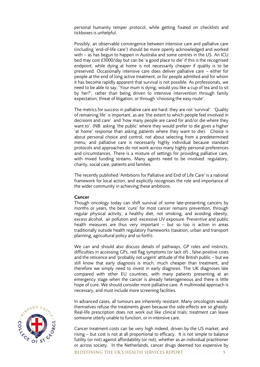personal humanity temper protocol, while getting fixated on checklists and tickboxes is unhelpful.

Possibly, an observable convergence between intensive care and palliative care (including 'end-of-life care') should be more openly acknowledged and worked with – as has begun to happen in Australia and some centres in the US. An ICU bed may cost £3000/day but can be 'a good place to die' if this is the recognised endpoint, while dying at home is not necessarily cheaper if quality is to be preserved. Occasionally intensive care does deliver palliative care – either for people at the end of long active treatment, or for people admitted and for whom it has become rapidly apparent that survival is not possible. As professionals, we need to be able to say, 'Your mum is dying; would you like a cup of tea and to sit by her?', rather than being driven to intensive intervention through family expectation, threat of litigation, or through 'choosing the easy route'.

The metrics for success in palliative care are hard: they are not 'survival'. 'Quality of remaining life' is important, as are 'the extent to which people feel involved in decisions and care' and 'how many people are cared for and/or die where they want to'. (NB: asking 'the public' where they would prefer to die gives a higher 'at home' response than asking *patients* where they want to die). Choice is about personal choice and control, not about selecting from a predetermined menu, and palliative care is necessarily highly individual because standard protocols and approaches do not work across many highly personal preferences and circumstances. There is a mixture of settings for providing palliative care, with mixed funding streams. Many agents need to be involved: regulatory, charity, social care, patients and families.

The recently published 'Ambitions for Palliative and End of Life Care' is a national framework for local action, and explicitly recognises the role and importance of the wider community in achieving these ambitions.

#### **Cancer**

Though oncology today can shift survival of some late-presenting cancers by months or years, the best 'cure' for most cancer remains prevention, through regular physical activity, a healthy diet, not smoking, and avoiding obesity, excess alcohol, air pollution and excessive UV exposure. Preventive and public health measures are thus very important – but so too is action in areas traditionally outside health regulatory frameworks (taxation, urban and transport planning, agricultural policy and so forth).

We can and should also discuss details of pathways, GP roles and instincts, difficulties in accessing GPs, red flag symptoms (or lack of) , false-positive costs and the reticence and 'probably not urgent' attitude of the British public – but we still know that early diagnosis is much, much cheaper than treatment, and therefore we simply need to invest in early diagnosis. The UK diagnoses late compared with other EU countries, with many patients presenting at an emergency stage when the cancer is already heterogeneous and there is little hope of cure. We should consider more palliative care. A multimodal approach is necessary, and must include more screening facilities.

In advanced cases, all tumours are inherently resistant. Many oncologists would themselves refuse the treatments given because the side-effects are so ghastly. Real-life prescription does not work out like clinical trials; treatment can leave someone utterly unable to function, or in intensive care.

Cancer treatment costs can be very high indeed, driven by the US market, and rising – but cost is not at all proportional to efficacy. It is not simple to balance futility (or not) against affordability (or not), whether as an individual practitioner or across society. In the Netherlands, cancer drugs deemed too expensive by

REDEFINING THE UK'S HEALTH SERVICES REPORT

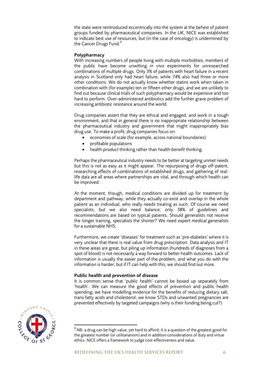the state were reintroduced eccentrically into the system at the behest of patient groups funded by pharmaceutical companies. In the UK, NICE was established to indicate best use of resources, but (in the case of oncology) is undermined by the Cancer Drugs Fund.<sup>9</sup>

#### **Polypharmacy**

With increasing numbers of people living with multiple morbidities, members of the public have become unwitting *in vivo* experiments for unresearched combinations of multiple drugs. Only 3% of patients with heart failure in a recent analysis in Scotland only had heart failure, while 74% also had three or more other conditions. We do not actually know whether statins work when taken in combination with (for example) ten or fifteen other drugs, and we are unlikely to find out because clinical trials of such polypharmacy would be expensive and too hard to perform. Over-administered antibiotics add the further grave problem of increasing antibiotic resistance around the world.

Drug companies assert that they are ethical and engaged, and work in a tough environment, and that in general there is no inappropriate relationship between the pharmaceutical industry and government that might inappropriately bias drug use. To make a profit, drug companies focus on:

- economies of scale (for example, across national boundaries)
- profitable populations
- health-*product* thinking rather than health-*benefit* thinking.

Perhaps the pharmaceutical industry needs to be better at targeting unmet needs but this is not as easy as it might appear. The repurposing of drugs off-patent, researching effects of combinations of established drugs, and gathering of reallife data are all areas where partnerships are vital, and through which health can be improved.

At the moment, though, medical conditions are divided up for treatment by department and pathway, while they actually co-exist and overlap in the whole patient as an individual, who really needs treating as such. Of course we need specialists, but we also need balance; only 38% of guidelines and recommendations are based on typical patients. Should generalists not receive the longer training, specialists the shorter? We need *expert medical generalists* for a sustainable NHS.

Furthermore, we *create* 'diseases' for treatment such as 'pre-diabetes' where it is very unclear that there is real value from drug prescription. Data analysis and IT in these areas are great, but piling up information (hundreds of diagnoses from a spot of blood) is not necessarily a way forward to better health outcomes. Lack of information is usually the easier part of the problem, and what you do with the information is harder; but if IT can help with this, we should find out more.

#### **Public health and prevention of disease**

It is common sense that 'public health' cannot be boxed up separately from 'health'. We can measure the good effects of prevention and public health spending; we have modelling evidence for the benefits of reducing dietary salt, trans-fatty acids and cholesterol; we *know* STDs and unwanted pregnancies are prevented effectively by targeted campaigns (why is their funding being cut?)



 $\overline{\phantom{a}}$ 

 $9$  NB: a drug can be high value, yet hard to afford; it is a question of the greatest good for the greatest number (or utilitarianism) and in addition considerations of duty and virtue ethics. NICE offers a framework to judge cost-effectiveness and value.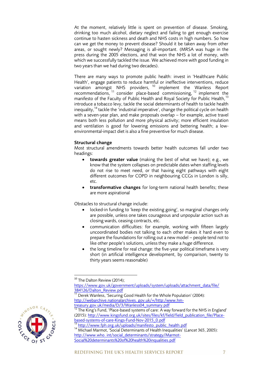At the moment, relatively little is spent on prevention of disease. Smoking, drinking too much alcohol, dietary neglect and failing to get enough exercise continue to hasten sickness and death and NHS costs in high numbers. So how can we get the money to prevent disease? Should it be taken away from other areas, or sought newly? Messaging is all-important. (MRSA was huge in the press during the 2005 elections, and that won the NHS a lot of money, with which we successfully tackled the issue. We achieved more with good funding in two years than we had during two decades).

There are many ways to promote public health: invest in 'Healthcare Public Health', engage patients to reduce harmful or ineffective interventions, reduce variation amongst NHS providers, <sup>10</sup> implement the Wanless Report recommendations, <sup>11</sup> consider place-based commissioning, <sup>12</sup> implement the manifesto of the Faculty of Public Health and Royal Society for Public Health,<sup>13</sup> introduce a tobacco levy, tackle the social determinants of health to tackle health inequality,<sup>14</sup> tackle the 'industrial imperative', change the political cycle on health with a seven-year plan, and make proposals overlap – for example, active travel means both less pollution and more physical activity; more efficient insulation and ventilation is good for lowering emissions and bettering health; a lowenvironmental-impact diet is also a fine preventive for much disease.

# **Structural change**

Most structural amendments towards better health outcomes fall under two headings:

- **towards greater value** (making the best of what we have); e.g., we know that the system collapses on predictable dates when staffing levels do not rise to meet need, or that having eight pathways with eight different outcomes for COPD in neighbouring CCGs in London is silly, etc.
- **transformative changes** for long-term national health benefits; these are more aspirational

Obstacles to structural change include:

- locked-in funding to 'keep the existing going', so marginal changes only are possible, unless one takes courageous and unpopular action such as closing wards, ceasing contracts, etc.
- communication difficulties: for example, working with fifteen largely uncoordinated bodies not talking to each other makes it hard even to prepare the foundations for rolling out a new model – people tend not to like other people's solutions, unless they make a *huge* difference.
- the long timeline for real change: the five-year political timeframe is very short (in artificial intelligence development, by comparison, twenty to thirty years seems reasonable)

<sup>11</sup> Derek Wanless, 'Securing Good Health for the Whole Population' (2004): http://webarchive.nationalarchives. gov.uk/+/http:/www.hmtreasury.gov.uk/media/D/3/Wanless04\_summary.pdf<br>12 The Ki

<sup>14</sup> Michael Marmot, 'Social Determinants of Health Inequalities' (*Lancet* 365, 2005): http://www.who. int/social\_determinants/strategy/Marmot-Social%20determinants%20of%20health%20inqualities.pdf



**<sup>.</sup>** <sup>10</sup> The Dalton Review (2014);

https://www.gov.uk/government/uploads/system/uploads/attachment\_data/file/ [384126/Dalton\\_Review.pdf](https://www.gov.uk/government/uploads/system/uploads/attachment_data/file/%20384126/Dalton_Review.pdf)

The King's Fund, 'Place-based systems of care: A way forward for the NHS in England' (2015)[: http://www.kingsfund.org.uk/sites/files/kf/field/field\\_publication\\_file/Place](http://www.kingsfund.org.uk/sites/files/kf/field/field_publication_file/Place-based-systems-of-care-Kings-Fund-Nov-2015_0.pdf)[based-systems-of-care-Kings-Fund-Nov-2015\\_0.pdf](http://www.kingsfund.org.uk/sites/files/kf/field/field_publication_file/Place-based-systems-of-care-Kings-Fund-Nov-2015_0.pdf)

<sup>13</sup> [http://www.fph.org.uk/uploads/manifesto\\_public\\_health.pdf](http://www.fph.org.uk/uploads/manifesto_public_health.pdf)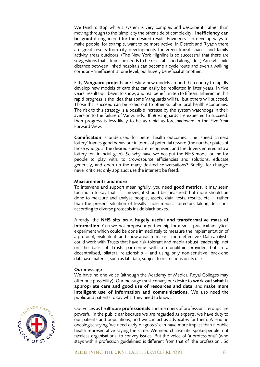We tend to stop while a system is very complex and describe it, rather than moving through to the 'simplicity the other side of complexity'. **Inefficiency can be good** if engineered for the desired result. Engineers can develop ways to make people, for example, want to be more active. In Detroit and Riyadh there are great results from city developments for green transit spaces and family activity areas outdoors. (The New York Highline is so successful that there are suggestions that a train line needs to be re-established alongside..) An eight-mile distance between linked hospitals can become a cycle route and even a walking corridor – 'inefficient' at one level, but hugely beneficial at another.

Fifty **Vanguard projects** are testing new models around the country to rapidly develop new models of care that can easily be replicated in later years. In five years, results will begin to show, and real benefit in ten to fifteen. Inherent in this rapid progress is the idea that some Vanguards will fail but others will succeed. Those that succeed can be rolled out to other suitable local health economies. The risk to this strategy is a possible increase by the system watchdogs in their aversion to the failure of Vanguards. If *all* Vanguards are expected to succeed, then progress is less likely to be as rapid as foreshadowed in the Five-Year Forward View.

**Gamification** is underused for better health outcomes. The 'speed camera lottery' frames good behaviour in terms of potential reward (the number plates of those who go at the desired speed are recognised, and the drivers entered into a lottery for financial gain). So why have we not put the NHS model online for people to play with, to crowdsource efficiencies and solutions, educate generally, and open up the many desired conversations? Briefly, for change: never criticise; only applaud; use the internet; be feted.

#### **Measurements and more**

To intervene and support meaningfully, you need **good metrics**. It may seem too much to say that 'if it moves, it should be measured' but more should be done to measure and analyse people, assets, data, tests, results, etc. – rather than the present situation of legally liable medical directors taking decisions according to diverse protocols inside black boxes.

Already, the **NHS sits on a hugely useful and transformative mass of information**. Can we not propose a partnership for a small practical analytical experiment which could be done immediately to measure the implementation of a protocol, evaluate it, and show areas to make it more effective? Data analysts could work with Trusts that have risk-tolerant and media-robust leadership, not on the basis of Trusts partnering with a monolithic provider, but in a decentralised, bilateral relationship – and using only non-sensitive, back-end database material, such as lab data, subject to restrictions on its use.

#### **Our message**

We have no one voice (although the Academy of Medical Royal Colleges may offer one possibility). Our message must convey our desire to **work out what is appropriate care and good use of resources and data**, and **make more intelligent use of information and communications**. We also need the public and patients to say what they need to know.



Our voices as healthcare **professionals** and members of professional groups are powerful in the public ear because we are regarded as experts, we have duty to our patients and populations, and we can act as advocates for them. A leading oncologist saying 'we need early diagnosis' can have more impact than a public health representative saying the same. We need charismatic spokespeople, not faceless organisations, to convey issues. But the voice of 'a professional' (who stays within profession guidelines) is different from that of 'the profession'. So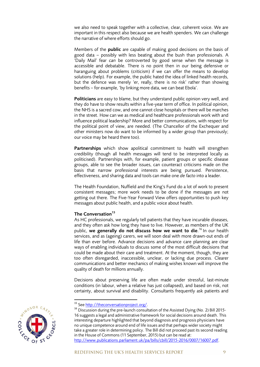we also need to speak together with a collective, clear, coherent voice. We are important in this respect also because we are health spenders. We *can* challenge the narrative of where efforts should go.

Members of the **public** are capable of making good decisions on the basis of good data – possibly with less beating about the bush than professionals. A 'Daily Mail' fear *can* be controverted by good sense when the message is accessible and debatable. There is no point then in our being defensive or haranguing about problems (criticism) if we can offer the means to develop solutions (help). For example, the public hated the idea of linked health records, but the defence was merely 'er, really, there is no risk' rather than showing benefits – for example, 'by linking more data, we can beat Ebola'.

**Politicians** are easy to blame, but they understand public opinion very well, and they do have to show results within a five-year term of office. In political opinion, the NHS is a sacred cow, and one cannot close hospitals or there will be marches in the street. How can we as medical and healthcare professionals work with and influence political leadership? More and better communications, with respect for the political point of view, are needed. (The Chancellor of the Exchequer and other ministers now do want to be informed by a wider group than previously; our voice may be heard there too).

**Partnerships** which show apolitical commitment to health will strengthen credibility (though all health messages will tend to be interpreted locally as politicised). Partnerships with, for example, patient groups or specific disease groups, able to see the broader issues, can counteract criticisms made on the basis that narrow professional interests are being pursued. Persistence, effectiveness, and sharing data and tools can make one *de facto* into a leader.

The Health Foundation, Nuffield and the King's Fund do a lot of work to present consistent messages; more work needs to be done if the messages are not getting out there. The Five-Year Forward View offers opportunities to push key messages about public health, and a public voice about health.

# **The Conversation<sup>15</sup>**

As HC professionals, we regularly tell patients that they have incurable diseases, and they often ask how long they have to live. However, as members of the UK public, **we generally do not discuss how we want to die**. <sup>16</sup> In our health services, and as (ageing) carers, we will soon deal with more drawn-out ends of life than ever before. Advance decisions and advance care planning are clear ways of enabling individuals to discuss some of the most difficult decisions that could be made about their care and treatment. At the moment, though, they are too often disregarded, inaccessible, unclear, or lacking due process. Clearer communications and better mechanics of making wishes known will improve the quality of death for millions annually.

Decisions about preserving life are often made under stressful, last-minute conditions (in labour, when a relative has just collapsed), and based on risk, not certainty, about survival and disability. Consultants frequently ask patients and

 $16$  Discussion during the pre-launch consultation of the Assisted Dying (No. 2) Bill 2015-16 suggests a legal and administrative framework for social decisions around death. This interesting departure highlighted that beyond diagnosis and prognosis physicians have no unique competence around end of life issues and that perhaps wider society might take a greater role in determining policy. The Bill did not proceed past its second reading in the House of Commons (11 September, 2015) but can be read at: [http://www.publications.parliament.uk/pa/bills/cbill/2015-2016/0007/16007.pdf.](http://www.publications.parliament.uk/pa/bills/cbill/2015-2016/0007/16007.pdf)



<sup>&</sup>lt;sup>15</sup> See [http://theconversationproject.org/.](http://theconversationproject.org/)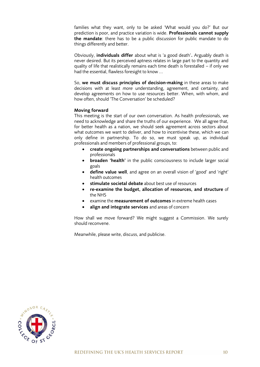families what they want, only to be asked 'What would you do?' But our prediction is poor, and practice variation is wide. **Professionals cannot supply the mandate**: there has to be a public discussion for public mandate to do things differently and better.

Obviously, **individuals differ** about what is 'a good death'**.** Arguably death is never desired. But its perceived aptness relates in large part to the quantity and quality of life that realistically remains each time death is forestalled – if only we had the essential, flawless foresight to know ...

So, **we must discuss principles of decision-making** in these areas to make decisions with at least *more* understanding, agreement, and certainty, and develop agreements on how to use resources better. When, with whom, and how often, should 'The Conversation' be scheduled?

#### **Moving forward**

This meeting is the start of our own conversation. As health professionals, we need to acknowledge and share the truths of our experience. We all agree that, for better health as a nation, we should seek agreement across sectors about what outcomes we want to deliver, and how to incentivise these, which we can only define in partnership. To do so, we must speak up, as individual professionals and members of professional groups, to:

- **create ongoing partnerships and conversations** between public and professionals
- **broaden 'health'** in the public consciousness to include larger social goals
- **define value well**, and agree on an overall vision of 'good' and 'right' health outcomes
- **stimulate societal debate** about best use of resources
- **re-examine the budget, allocation of resources, and structure** of the NHS
- examine the **measurement of outcomes** in extreme health cases
- **align and integrate services** and areas of concern

How shall we move forward? We might suggest a Commission. We surely should reconvene.

Meanwhile, please write, discuss, and publicise.

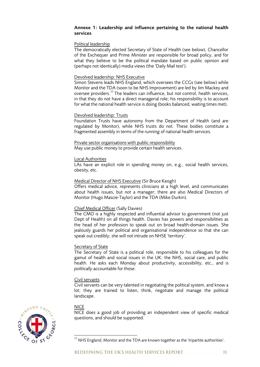#### **Annexe 1: Leadership and influence pertaining to the national health services**

### Political leadership

The democratically elected Secretary of State of Health (see below), Chancellor of the Exchequer and Prime Minister are responsible for broad policy, and for what they believe to be the political mandate based on public opinion and (perhaps not identically) media views (the 'Daily Mail test').

#### Devolved leadership: NHS Executive

Simon Stevens leads NHS England, which oversees the CCGs (see below) while Monitor and the TDA (soon to be NHS Improvement) are led by Jim Mackey and oversee providers.<sup>17</sup> The leaders can influence, but not control, health services, in that they do not have a direct managerial role; his responsibility is to account for what the national health service is doing (books balanced, waiting times met).

#### Devolved leadership: Trusts

Foundation Trusts have autonomy from the Department of Health (and are regulated by Monitor), while NHS trusts do not. These bodies constitute a fragmented assembly in terms of the *running* of national health services.

#### Private sector organisations with public responsibility May use public money to provide certain health services.

#### Local Authorities

LAs have an explicit role in spending money on, e.g., social health services, obesity, etc.

#### Medical Director of NHS Executive (Sir Bruce Keogh)

Offers medical advice, represents clinicians at a high level, and communicates about health issues, but *not* a manager; there are also Medical Directors of Monitor (Hugo Mascie-Taylor) and the TDA (Mike Durkin).

# Chief Medical Officer (Sally Davies)

The CMO is a highly respected and influential advisor to government (not just Dept of Health) on all things health. Davies has powers and responsibilities as the head of her profession to speak out on broad health-domain issues. She jealously guards her political and organisational independence so that she can speak out credibly; she will not intrude on NHSE 'territory'.

# Secretary of State

The Secretary of State is a political role, responsible to his colleagues for the gamut of health and social issues in the UK: the NHS, social care, and public health. He asks each Monday about productivity, accessibility, etc., and is *politically* accountable for those.

#### Civil servants

Civil servants can be very talented in negotiating the political system, and know a lot; they are trained to listen, think, negotiate and manage the political landscape.

# **NICE**

NICE does a good job of providing an independent view of specific medical questions, and should be supported.



**<sup>.</sup>**  $^{17}$  NHS England, Monitor and the TDA are known together as the 'tripartite authorities'.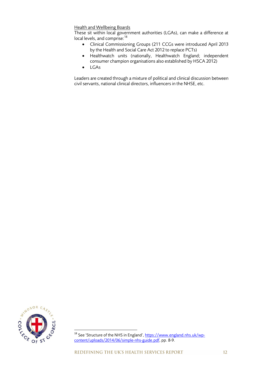### Health and Wellbeing Boards

These sit within local government authorities (LGAs), can make a difference at local levels, and comprise:  $18$ 

- Clinical Commissioning Groups (211 CCGs were introduced April 2013 by the Health and Social Care Act 2012 to replace PCTs)
- Healthwatch units (nationally, Healthwatch England; independent consumer champion organisations also established by HSCA 2012)
- LGAs

Leaders are created through a mixture of political and clinical discussion between civil servants, national clinical directors, influencers in the NHSE, etc.



<sup>&</sup>lt;sup>18</sup> See 'Structure of the NHS in England', [https://www.england.nhs.uk/wp](https://www.england.nhs.uk/wp-content/uploads/2014/06/simple-nhs-guide.pdf)[content/uploads/2014/06/simple-nhs-guide.pdf,](https://www.england.nhs.uk/wp-content/uploads/2014/06/simple-nhs-guide.pdf) pp. 8-9.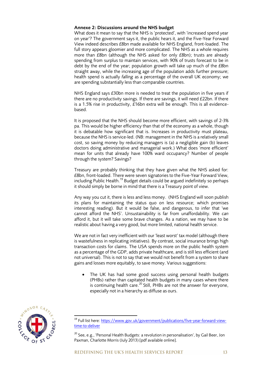#### **Annexe 2: Discussions around the NHS budget**

What does it mean to say that the NHS is 'protected', with 'increased spend year on year'? The government says it, the public hears it, and the Five-Year Forward View indeed describes £8bn made available for NHS England, front-loaded. The full story appears gloomier and more complicated. The NHS as a whole requires more than £8bn (although the NHS asked for only £8bn); trusts are already spending from surplus to maintain services, with 90% of trusts forecast to be in debt by the end of the year; population growth will take up much of the £8bn straight away, while the increasing age of the population adds further pressure; health spend is actually *falling* as a percentage of the overall UK economy; we are spending substantially less than comparable countries.

NHS England says £30bn more is needed to treat the population in five years if there are no productivity savings. If there are savings, it will need £22bn. If there is a 1.5% rise in productivity, £16bn extra will be enough. This is all evidencebased.

It is proposed that the NHS should become more efficient, with savings of 2-3% pa. This would be higher efficiency than that of the economy as a whole, though it is debatable how significant that is. Increases in productivity must plateau, because the NHS is service-led. (NB: management in the NHS is a relatively small cost, so saving money by reducing managers is (a) a negligible gain (b) leaves doctors doing administrative and managerial work.) What does 'more efficient' mean for units that already have 100% ward occupancy? Number of people through the system? Savings?

Treasury are probably thinking that they have given what the NHS asked for: £8bn, front-loaded. There were seven signatories to the Five-Year Forward View, including Public Health.<sup>19</sup> Budget details could be argued indefinitely so perhaps it should simply be borne in mind that there is a Treasury point of view.

Any way you cut it, there is less and less money. (NHS England will soon publish its plans for maintaining the status quo on less resource; which promises interesting reading). But it would be false, and dangerous, to infer that 'we cannot afford the NHS'. Unsustainability is far from unaffordability. We *can* afford it, but it will take some brave changes. As a nation, we may have to be realistic about having a very good, but more limited, national health service.

We are not in fact very inefficient with our 'least worst' tax model (although there is wastefulness in replicating initiatives). By contrast, social insurance brings high transaction costs for claims. The USA spends more on the public health system as a percentage of the GDP, adds private healthcare, and is still less efficient (and not universal). This is not to say that we would not benefit from a system to share gains and losses more equitably, to save money. Various suggestions:

 The UK has had some good success using personal health budgets (PHBs) rather than capitated health budgets in many cases where there is continuing health care.<sup>20</sup> Still, PHBs are not the answer for everyone, especially not in a hierarchy as diffuse as ours.



 $\overline{\phantom{a}}$ 

<sup>&</sup>lt;sup>19</sup> Full list here: <u>https://www.gov.uk/government/publications/five-year-forward-view-</u> [time-to-deliver](https://www.gov.uk/government/publications/five-year-forward-view-time-to-deliver)

 $^{20}$  See, e.g., 'Personal Health Budgets: a revolution in personalisation', by Gail Beer, Jon Paxman, Charlotte Morris (July 2013) [pdf available online].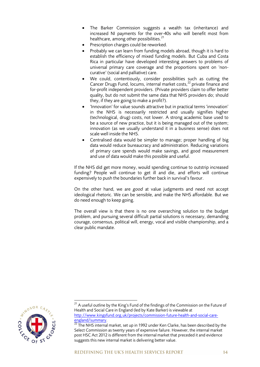- The Barker Commission suggests a wealth tax (inheritance) and increased NI payments for the over-40s who will benefit most from healthcare, among other possibilities.<sup>21</sup>
- Prescription charges could be reworked.
- Probably we can learn from funding models abroad, though it is hard to establish the efficiency of mixed funding models. But Cuba and Costa Rica in particular have developed interesting answers to problems of universal primary care coverage and the proportions spent on 'noncurative' (social and palliative) care.
- We could, contentiously, consider possibilities such as cutting the Cancer Drugs Fund, locums, internal market costs,<sup>22</sup> private finance and for-profit independent providers. (Private providers claim to offer better quality, but do not submit the same data that NHS providers do; should they, if they are going to make a profit?).
- 'Innovation' for value sounds attractive but in practical terms 'innovation' in the NHS is necessarily restricted and usually signifies higher (technological, drug) costs, not lower. A strong academic base used to be a source of new practice, but it is being managed out of the system; innovation (as we usually understand it in a business sense) does not scale well inside the NHS.
- Centralised data would be simpler to manage; proper handling of big data would reduce bureaucracy and administration. Reducing variations of primary care spends would make savings, and good measurement and use of data would make this possible and useful.

If the NHS did get more money, would spending continue to outstrip increased funding? People will continue to get ill and die, and efforts will continue expensively to push the boundaries further back in survival's favour.

On the other hand, we are *good* at value judgments and need not accept ideological rhetoric. We can be sensible, and make the NHS affordable. But we do need enough to keep going.

The overall view is that there is no one overarching solution to the budget problem, and pursuing several difficult partial solutions is necessary, demanding courage, consensus, political will, energy, vocal and visible championship, and a clear public mandate.



 $^{21}$  A useful outline by the King's Fund of the findings of the Commission on the Future of Health and Social Care in England (led by Kate Barker) is viewable at [http://www.kingsfund.org.uk/projects/commission-future-health-and-social-care](http://www.kingsfund.org.uk/projects/commission-future-health-and-social-care-england/summary)[england/summary.](http://www.kingsfund.org.uk/projects/commission-future-health-and-social-care-england/summary)

 $\frac{22}{2}$  The NHS internal market, set up in 1992 under Ken Clarke, has been described by the Select Commission as twenty years of expensive failure. However, the internal market post HSC Act 2012 is different from the internal market that preceded it and evidence suggests this new internal market is delivering better value.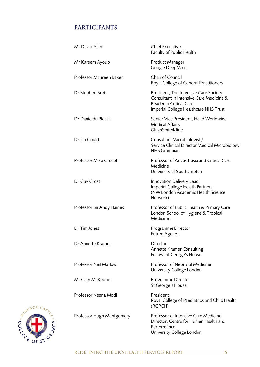# **PARTICIPANTS**

| Mr David Allen            | <b>Chief Executive</b><br>Faculty of Public Health                                                                                                   |
|---------------------------|------------------------------------------------------------------------------------------------------------------------------------------------------|
| Mr Kareem Ayoub           | Product Manager<br>Google DeepMind                                                                                                                   |
| Professor Maureen Baker   | Chair of Council<br>Royal College of General Practitioners                                                                                           |
| Dr Stephen Brett          | President, The Intensive Care Society<br>Consultant in Intensive Care Medicine &<br>Reader in Critical Care<br>Imperial College Healthcare NHS Trust |
| Dr Danie du Plessis       | Senior Vice President, Head Worldwide<br><b>Medical Affairs</b><br>GlaxoSmithKline                                                                   |
| Dr Ian Gould              | Consultant Microbiologist /<br>Service Clinical Director Medical Microbiology<br>NHS Grampian                                                        |
| Professor Mike Grocott    | Professor of Anaesthesia and Critical Care<br>Medicine<br>University of Southampton                                                                  |
| Dr Guy Gross              | Innovation Delivery Lead<br>Imperial College Health Partners<br>(NW London Academic Health Science<br>Network)                                       |
| Professor Sir Andy Haines | Professor of Public Health & Primary Care<br>London School of Hygiene & Tropical<br>Medicine                                                         |
| Dr Tim Jones              | Programme Director<br>Future Agenda                                                                                                                  |
| Dr Annette Kramer         | Director<br>Annette Kramer Consulting<br>Fellow, St George's House                                                                                   |
| Professor Neil Marlow     | Professor of Neonatal Medicine<br>University College London                                                                                          |
| Mr Gary McKeone           | Programme Director<br>St George's House                                                                                                              |
| Professor Neena Modi      | President<br>Royal College of Paediatrics and Child Health<br>(RCPCH)                                                                                |
| Professor Hugh Montgomery | Professor of Intensive Care Medicine<br>Director, Centre for Human Health and<br>Performance<br>University College London                            |

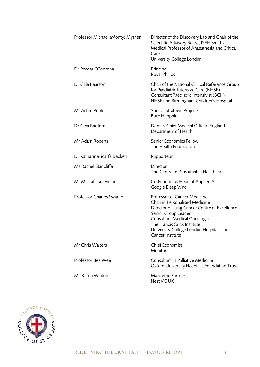| Professor Michael (Monty) Mythen | Director of the Discovery Lab and Chair of the<br>Scientific Advisory Board, ISEH Smiths<br>Medical Professor of Anaesthesia and Critical<br>Care<br>University College London                                                                                              |
|----------------------------------|-----------------------------------------------------------------------------------------------------------------------------------------------------------------------------------------------------------------------------------------------------------------------------|
| Dr Peadar O'Mordha               | Principal<br>Royal Philips                                                                                                                                                                                                                                                  |
| Dr Gale Pearson                  | Chair of the National Clinical Reference Group<br>for Paediatric Intensive Care (NHSE)<br>Consultant Paediatric Intensivist (BCH)<br>NHSE and Birmingham Children's Hospital                                                                                                |
| Mr Adam Poole                    | Special Strategic Projects<br><b>Buro Happold</b>                                                                                                                                                                                                                           |
| Dr Gina Radford                  | Deputy Chief Medical Officer, England<br>Department of Health                                                                                                                                                                                                               |
| Mr Adam Roberts                  | Senior Economics Fellow<br>The Health Foundation                                                                                                                                                                                                                            |
| Dr Katharine Scarfe Beckett      | Rapporteur                                                                                                                                                                                                                                                                  |
| Ms Rachel Stancliffe             | Director<br>The Centre for Sustainable Healthcare                                                                                                                                                                                                                           |
| Mr Mustafa Suleyman              | Co-Founder & Head of Applied AI<br>Google DeepMind                                                                                                                                                                                                                          |
| Professor Charles Swanton        | Professor of Cancer Medicine<br>Chair in Personalised Medicine<br>Director of Lung Cancer Centre of Excellence<br>Senior Group Leader<br><b>Consultant Medical Oncologist</b><br>The Francis Crick Institute<br>University College London Hospitals and<br>Cancer Institute |
| <b>Mr Chris Walters</b>          | Chief Economist<br>Monitor                                                                                                                                                                                                                                                  |
| Professor Bee Wee                | Consultant in Palliative Medicine<br>Oxford University Hospitals Foundation Trust                                                                                                                                                                                           |
| Ms Karen Winton                  | Managing Partner<br>Nest VC UK                                                                                                                                                                                                                                              |